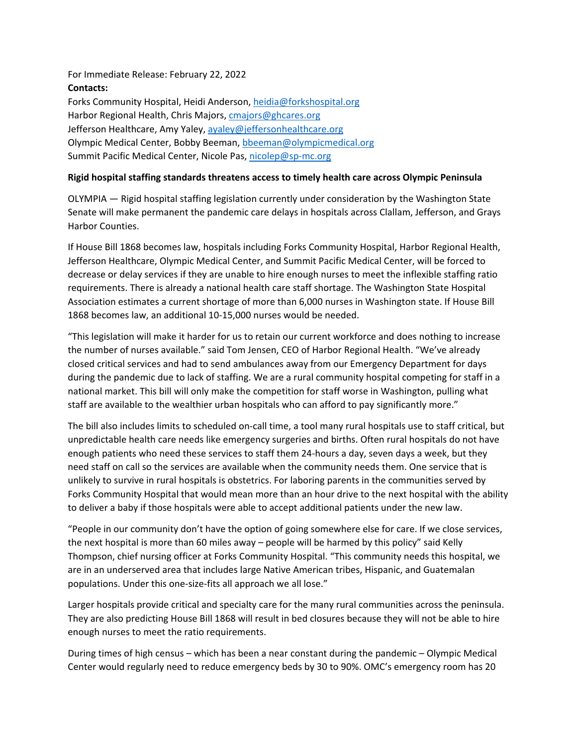For Immediate Release: February 22, 2022 **Contacts:** Forks Community Hospital, Heidi Anderson, [heidia@forkshospital.org](mailto:heidia@forkshospital.org) Harbor Regional Health, Chris Majors, [cmajors@ghcares.org](mailto:cmajors@ghcares.org) Jefferson Healthcare, Amy Yaley, [ayaley@jeffersonhealthcare.org](mailto:ayaley@jeffersonhealthcare.org) Olympic Medical Center, Bobby Beeman, [bbeeman@olympicmedical.org](mailto:bbeeman@olympicmedical.org) Summit Pacific Medical Center, Nicole Pas, [nicolep@sp-mc.org](mailto:nicolep@sp-mc.org)

## **Rigid hospital staffing standards threatens access to timely health care across Olympic Peninsula**

OLYMPIA — Rigid hospital staffing legislation currently under consideration by the Washington State Senate will make permanent the pandemic care delays in hospitals across Clallam, Jefferson, and Grays Harbor Counties.

If House Bill 1868 becomes law, hospitals including Forks Community Hospital, Harbor Regional Health, Jefferson Healthcare, Olympic Medical Center, and Summit Pacific Medical Center, will be forced to decrease or delay services if they are unable to hire enough nurses to meet the inflexible staffing ratio requirements. There is already a national health care staff shortage. The Washington State Hospital Association estimates a current shortage of more than 6,000 nurses in Washington state. If House Bill 1868 becomes law, an additional 10-15,000 nurses would be needed.

"This legislation will make it harder for us to retain our current workforce and does nothing to increase the number of nurses available." said Tom Jensen, CEO of Harbor Regional Health. "We've already closed critical services and had to send ambulances away from our Emergency Department for days during the pandemic due to lack of staffing. We are a rural community hospital competing for staff in a national market. This bill will only make the competition for staff worse in Washington, pulling what staff are available to the wealthier urban hospitals who can afford to pay significantly more."

The bill also includes limits to scheduled on-call time, a tool many rural hospitals use to staff critical, but unpredictable health care needs like emergency surgeries and births. Often rural hospitals do not have enough patients who need these services to staff them 24-hours a day, seven days a week, but they need staff on call so the services are available when the community needs them. One service that is unlikely to survive in rural hospitals is obstetrics. For laboring parents in the communities served by Forks Community Hospital that would mean more than an hour drive to the next hospital with the ability to deliver a baby if those hospitals were able to accept additional patients under the new law.

"People in our community don't have the option of going somewhere else for care. If we close services, the next hospital is more than 60 miles away – people will be harmed by this policy" said Kelly Thompson, chief nursing officer at Forks Community Hospital. "This community needs this hospital, we are in an underserved area that includes large Native American tribes, Hispanic, and Guatemalan populations. Under this one-size-fits all approach we all lose."

Larger hospitals provide critical and specialty care for the many rural communities across the peninsula. They are also predicting House Bill 1868 will result in bed closures because they will not be able to hire enough nurses to meet the ratio requirements.

During times of high census – which has been a near constant during the pandemic – Olympic Medical Center would regularly need to reduce emergency beds by 30 to 90%. OMC's emergency room has 20